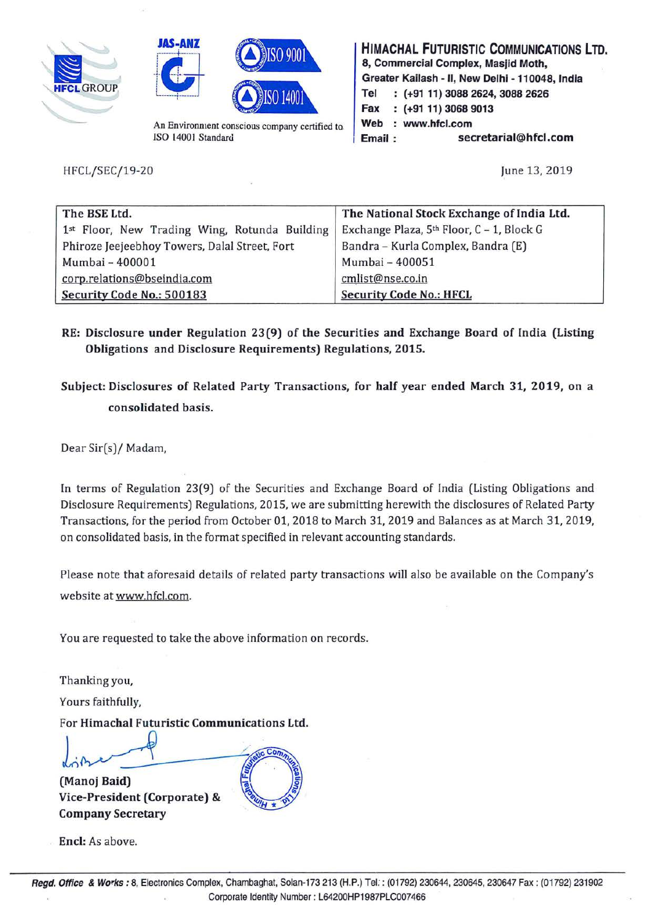





An Environment conscious company certified to. ISO 14001 Standard

HFCL/SEC/19-20

**HIMACHAL FUTURISTIC COMMUNICATIONS LTD. 8, Commercial Complex, Masjid Moth, Greater Kailash** - II, **New Delhi** - **110048, India Tel** : **(+91 11) 3088 2624, 3088 2626 Fax (+91 11) 3068 9013**  Web : www.hfcl.com **Email: secretarial@hfcl.com** 

June 13, 2019

| The BSE Ltd.                                  | The National Stock Exchange of India Ltd. |
|-----------------------------------------------|-------------------------------------------|
| 1st Floor, New Trading Wing, Rotunda Building | Exchange Plaza, 5th Floor, C - 1, Block G |
| Phiroze Jeejeebhoy Towers, Dalal Street, Fort | Bandra - Kurla Complex, Bandra (E)        |
| Mumbai - 400001                               | Mumbai - 400051                           |
| corp.relations@bseindia.com                   | cmlist@nse.co.in                          |
| Security Code No.: 500183                     | <b>Security Code No.: HFCL</b>            |

- **RE: Disclosure under Regulation 23(9) of the Securities and Exchange Board of India (Listing Obligations and Disclosure Requirements) Regulations, 2015.**
- **Subject: Disclosures of Related Party Transactions, for half year ended March 31, 2019, on a consolidated basis.**

Dear Sir(s)/ Madam,

In terms of Regulation 23(9) of the Securities and Exchange Board of India (Listing Obligations and Disclosure Requirements) Regulations, 2015, we are submitting herewith the disclosures of Related Party Transactions, for the period from October 01, 2018 to March 31, 2019 and Balances as at March 31, 2019, on consolidated basis, in the format specified in relevant accounting standards.

Please note that aforesaid details of related party transactions will also be available on the Company's website at www.hfcl.com.

You are requested to take the above information on records.

Thanking you,

Yours faithfully,

For **Himachal Futuristic Communications Ltd.** 

L ~ ~ \_\_--'7. ~cC0117~ ~---2-- /.§ if ,.,. ~ **(Manoj Baid)** ~ <sup>g</sup>

**Vice-President (Corporate) & ...**<br>Company Secretary

**Encl:** As above.